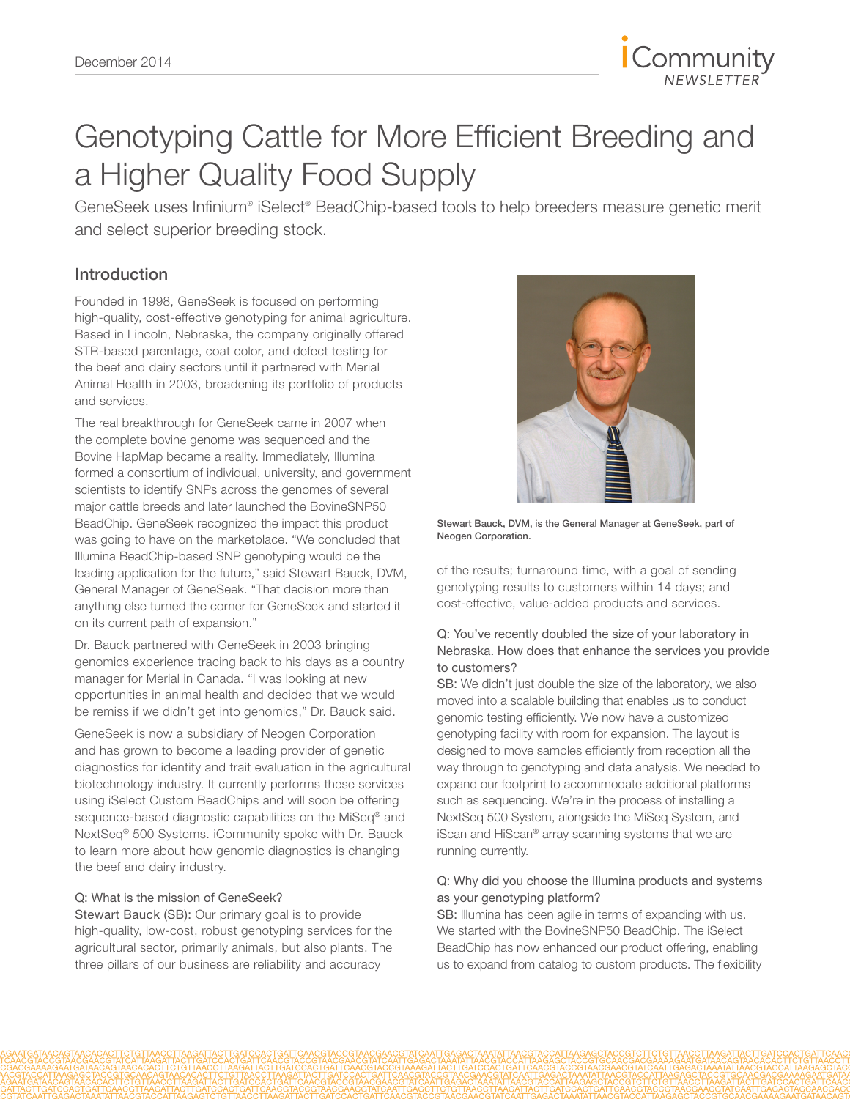

# Genotyping Cattle for More Efficient Breeding and a Higher Quality Food Supply

GeneSeek uses Infinium® iSelect® BeadChip-based tools to help breeders measure genetic merit and select superior breeding stock.

### Introduction

Founded in 1998, GeneSeek is focused on performing high-quality, cost-effective genotyping for animal agriculture. Based in Lincoln, Nebraska, the company originally offered STR-based parentage, coat color, and defect testing for the beef and dairy sectors until it partnered with Merial Animal Health in 2003, broadening its portfolio of products and services.

The real breakthrough for GeneSeek came in 2007 when the complete bovine genome was sequenced and the Bovine HapMap became a reality. Immediately, Illumina formed a consortium of individual, university, and government scientists to identify SNPs across the genomes of several major cattle breeds and later launched the BovineSNP50 BeadChip. GeneSeek recognized the impact this product was going to have on the marketplace. "We concluded that Illumina BeadChip-based SNP genotyping would be the leading application for the future," said Stewart Bauck, DVM, General Manager of GeneSeek. "That decision more than anything else turned the corner for GeneSeek and started it on its current path of expansion."

Dr. Bauck partnered with GeneSeek in 2003 bringing genomics experience tracing back to his days as a country manager for Merial in Canada. "I was looking at new opportunities in animal health and decided that we would be remiss if we didn't get into genomics," Dr. Bauck said.

GeneSeek is now a subsidiary of Neogen Corporation and has grown to become a leading provider of genetic diagnostics for identity and trait evaluation in the agricultural biotechnology industry. It currently performs these services using iSelect Custom BeadChips and will soon be offering sequence-based diagnostic capabilities on the MiSeq® and NextSeq® 500 Systems. iCommunity spoke with Dr. Bauck to learn more about how genomic diagnostics is changing the beef and dairy industry.

#### Q: What is the mission of GeneSeek?

Stewart Bauck (SB): Our primary goal is to provide high-quality, low-cost, robust genotyping services for the agricultural sector, primarily animals, but also plants. The three pillars of our business are reliability and accuracy



Stewart Bauck, DVM, is the General Manager at GeneSeek, part of Neogen Corporation.

of the results; turnaround time, with a goal of sending genotyping results to customers within 14 days; and cost-effective, value-added products and services.

#### Q: You've recently doubled the size of your laboratory in Nebraska. How does that enhance the services you provide to customers?

SB: We didn't just double the size of the laboratory, we also moved into a scalable building that enables us to conduct genomic testing efficiently. We now have a customized genotyping facility with room for expansion. The layout is designed to move samples efficiently from reception all the way through to genotyping and data analysis. We needed to expand our footprint to accommodate additional platforms such as sequencing. We're in the process of installing a NextSeq 500 System, alongside the MiSeq System, and iScan and HiScan® array scanning systems that we are running currently.

#### Q: Why did you choose the Illumina products and systems as your genotyping platform?

SB: Illumina has been agile in terms of expanding with us. We started with the BovineSNP50 BeadChip. The iSelect BeadChip has now enhanced our product offering, enabling us to expand from catalog to custom products. The flexibility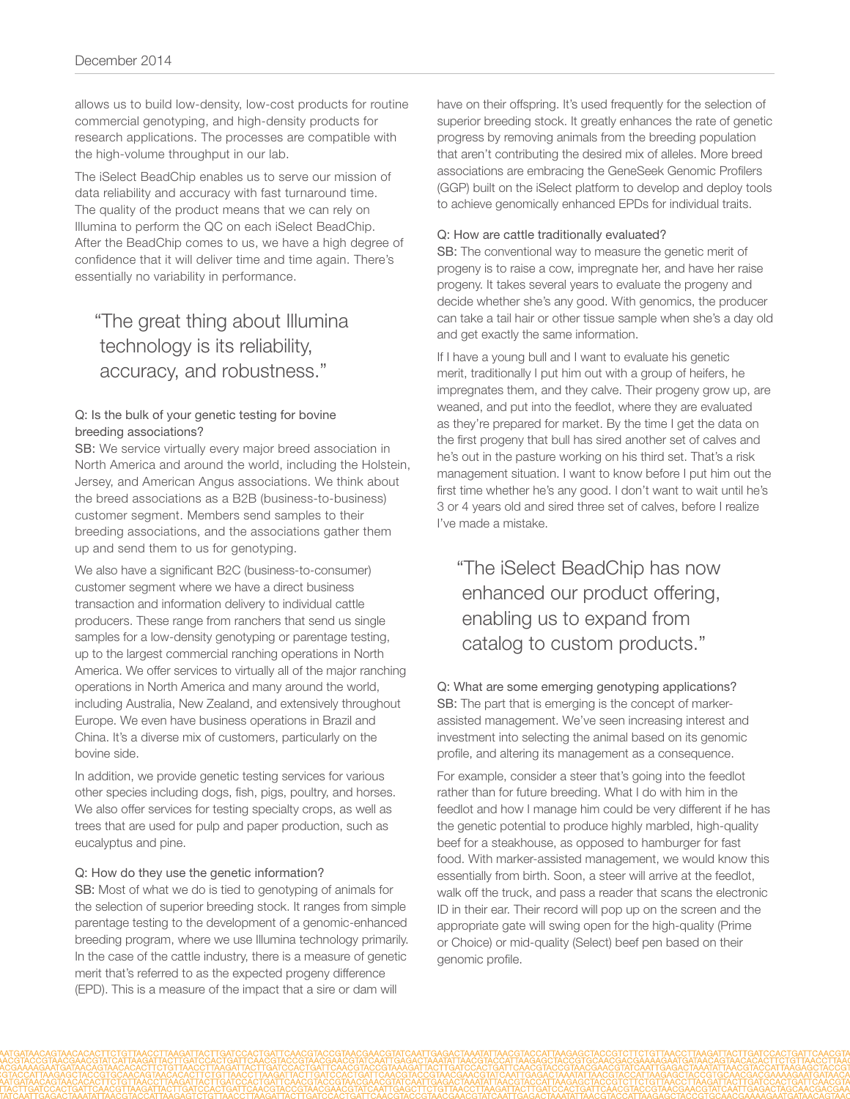allows us to build low-density, low-cost products for routine commercial genotyping, and high-density products for research applications. The processes are compatible with the high-volume throughput in our lab.

The iSelect BeadChip enables us to serve our mission of data reliability and accuracy with fast turnaround time. The quality of the product means that we can rely on Illumina to perform the QC on each iSelect BeadChip. After the BeadChip comes to us, we have a high degree of confidence that it will deliver time and time again. There's essentially no variability in performance.

## "The great thing about Illumina technology is its reliability, accuracy, and robustness."

#### Q: Is the bulk of your genetic testing for bovine breeding associations?

SB: We service virtually every major breed association in North America and around the world, including the Holstein, Jersey, and American Angus associations. We think about the breed associations as a B2B (business-to-business) customer segment. Members send samples to their breeding associations, and the associations gather them up and send them to us for genotyping.

We also have a significant B2C (business-to-consumer) customer segment where we have a direct business transaction and information delivery to individual cattle producers. These range from ranchers that send us single samples for a low-density genotyping or parentage testing, up to the largest commercial ranching operations in North America. We offer services to virtually all of the major ranching operations in North America and many around the world, including Australia, New Zealand, and extensively throughout Europe. We even have business operations in Brazil and China. It's a diverse mix of customers, particularly on the bovine side.

In addition, we provide genetic testing services for various other species including dogs, fish, pigs, poultry, and horses. We also offer services for testing specialty crops, as well as trees that are used for pulp and paper production, such as eucalyptus and pine.

#### Q: How do they use the genetic information?

SB: Most of what we do is tied to genotyping of animals for the selection of superior breeding stock. It ranges from simple parentage testing to the development of a genomic-enhanced breeding program, where we use Illumina technology primarily. In the case of the cattle industry, there is a measure of genetic merit that's referred to as the expected progeny difference (EPD). This is a measure of the impact that a sire or dam will

have on their offspring. It's used frequently for the selection of superior breeding stock. It greatly enhances the rate of genetic progress by removing animals from the breeding population that aren't contributing the desired mix of alleles. More breed associations are embracing the GeneSeek Genomic Profilers (GGP) built on the iSelect platform to develop and deploy tools to achieve genomically enhanced EPDs for individual traits.

#### Q: How are cattle traditionally evaluated?

SB: The conventional way to measure the genetic merit of progeny is to raise a cow, impregnate her, and have her raise progeny. It takes several years to evaluate the progeny and decide whether she's any good. With genomics, the producer can take a tail hair or other tissue sample when she's a day old and get exactly the same information.

If I have a young bull and I want to evaluate his genetic merit, traditionally I put him out with a group of heifers, he impregnates them, and they calve. Their progeny grow up, are weaned, and put into the feedlot, where they are evaluated as they're prepared for market. By the time I get the data on the first progeny that bull has sired another set of calves and he's out in the pasture working on his third set. That's a risk management situation. I want to know before I put him out the first time whether he's any good. I don't want to wait until he's 3 or 4 years old and sired three set of calves, before I realize I've made a mistake.

"The iSelect BeadChip has now enhanced our product offering, enabling us to expand from catalog to custom products."

#### Q: What are some emerging genotyping applications? SB: The part that is emerging is the concept of markerassisted management. We've seen increasing interest and investment into selecting the animal based on its genomic profile, and altering its management as a consequence.

For example, consider a steer that's going into the feedlot rather than for future breeding. What I do with him in the feedlot and how I manage him could be very different if he has the genetic potential to produce highly marbled, high-quality beef for a steakhouse, as opposed to hamburger for fast food. With marker-assisted management, we would know this essentially from birth. Soon, a steer will arrive at the feedlot, walk off the truck, and pass a reader that scans the electronic ID in their ear. Their record will pop up on the screen and the appropriate gate will swing open for the high-quality (Prime or Choice) or mid-quality (Select) beef pen based on their genomic profile.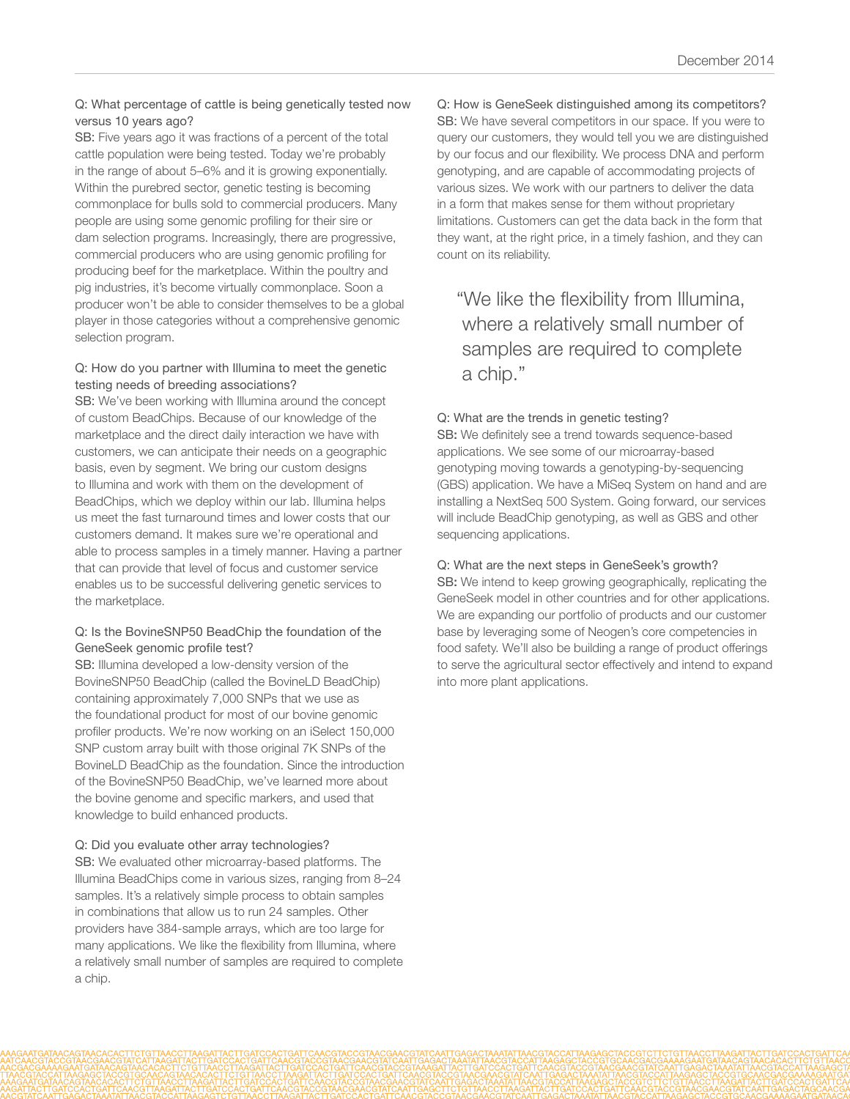#### Q: What percentage of cattle is being genetically tested now versus 10 years ago?

SB: Five years ago it was fractions of a percent of the total cattle population were being tested. Today we're probably in the range of about 5–6% and it is growing exponentially. Within the purebred sector, genetic testing is becoming commonplace for bulls sold to commercial producers. Many people are using some genomic profiling for their sire or dam selection programs. Increasingly, there are progressive, commercial producers who are using genomic profiling for producing beef for the marketplace. Within the poultry and pig industries, it's become virtually commonplace. Soon a producer won't be able to consider themselves to be a global player in those categories without a comprehensive genomic selection program.

#### Q: How do you partner with Illumina to meet the genetic testing needs of breeding associations?

SB: We've been working with Illumina around the concept of custom BeadChips. Because of our knowledge of the marketplace and the direct daily interaction we have with customers, we can anticipate their needs on a geographic basis, even by segment. We bring our custom designs to Illumina and work with them on the development of BeadChips, which we deploy within our lab. Illumina helps us meet the fast turnaround times and lower costs that our customers demand. It makes sure we're operational and able to process samples in a timely manner. Having a partner that can provide that level of focus and customer service enables us to be successful delivering genetic services to the marketplace.

### Q: Is the BovineSNP50 BeadChip the foundation of the GeneSeek genomic profile test?

SB: Illumina developed a low-density version of the BovineSNP50 BeadChip (called the BovineLD BeadChip) containing approximately 7,000 SNPs that we use as the foundational product for most of our bovine genomic profiler products. We're now working on an iSelect 150,000 SNP custom array built with those original 7K SNPs of the BovineLD BeadChip as the foundation. Since the introduction of the BovineSNP50 BeadChip, we've learned more about the bovine genome and specific markers, and used that knowledge to build enhanced products.

#### Q: Did you evaluate other array technologies?

SB: We evaluated other microarray-based platforms. The Illumina BeadChips come in various sizes, ranging from 8–24 samples. It's a relatively simple process to obtain samples in combinations that allow us to run 24 samples. Other providers have 384-sample arrays, which are too large for many applications. We like the flexibility from Illumina, where a relatively small number of samples are required to complete a chip.

Q: How is GeneSeek distinguished among its competitors? SB: We have several competitors in our space. If you were to query our customers, they would tell you we are distinguished by our focus and our flexibility. We process DNA and perform genotyping, and are capable of accommodating projects of various sizes. We work with our partners to deliver the data in a form that makes sense for them without proprietary limitations. Customers can get the data back in the form that they want, at the right price, in a timely fashion, and they can count on its reliability.

"We like the flexibility from Illumina, where a relatively small number of samples are required to complete a chip."

#### Q: What are the trends in genetic testing?

SB: We definitely see a trend towards sequence-based applications. We see some of our microarray-based genotyping moving towards a genotyping-by-sequencing (GBS) application. We have a MiSeq System on hand and are installing a NextSeq 500 System. Going forward, our services will include BeadChip genotyping, as well as GBS and other sequencing applications.

#### Q: What are the next steps in GeneSeek's growth?

SB: We intend to keep growing geographically, replicating the GeneSeek model in other countries and for other applications. We are expanding our portfolio of products and our customer base by leveraging some of Neogen's core competencies in food safety. We'll also be building a range of product offerings to serve the agricultural sector effectively and intend to expand into more plant applications.